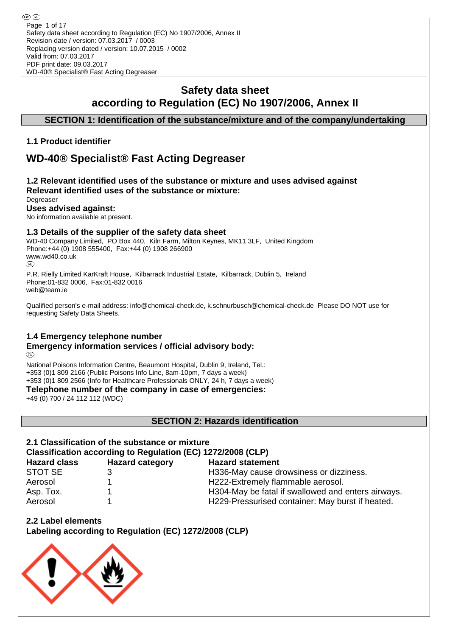⊛® Page 1 of 17Safety data sheet according to Regulation (EC) No 1907/2006, Annex II Revision date / version: 07.03.2017 / 0003 Replacing version dated / version: 10.07.2015 / 0002 Valid from: 07.03.2017 PDF print date: 09.03.2017 WD-40® Specialist® Fast Acting Degreaser

# **Safety data sheet according to Regulation (EC) No 1907/2006, Annex II**

**SECTION 1: Identification of the substance/mixture and of the company/undertaking**

## **1.1 Product identifier**

# **WD-40® Specialist® Fast Acting Degreaser**

#### **1.2 Relevant identified uses of the substance or mixture and uses advised against Relevant identified uses of the substance or mixture: Degreaser**

**Uses advised against:**

No information available at present.

## **1.3 Details of the supplier of the safety data sheet**

WD-40 Company Limited, PO Box 440, Kiln Farm, Milton Keynes, MK11 3LF, United Kingdom Phone:+44 (0) 1908 555400, Fax:+44 (0) 1908 266900 www.wd40.co.uk (RD)

P.R. Rielly Limited KarKraft House, Kilbarrack Industrial Estate, Kilbarrack, Dublin 5, Ireland Phone:01-832 0006, Fax:01-832 0016 web@team.ie

Qualified person's e-mail address: info@chemical-check.de, k.schnurbusch@chemical-check.de Please DO NOT use for requesting Safety Data Sheets.

## **1.4 Emergency telephone number**

#### **Emergency information services / official advisory body:** (RD)

National Poisons Information Centre, Beaumont Hospital, Dublin 9, Ireland, Tel.: +353 (0)1 809 2166 (Public Poisons Info Line, 8am-10pm, 7 days a week) +353 (0)1 809 2566 (Info for Healthcare Professionals ONLY, 24 h, 7 days a week)

**Telephone number of the company in case of emergencies:**

+49 (0) 700 / 24 112 112 (WDC)

**SECTION 2: Hazards identification**

# **2.1 Classification of the substance or mixture Classification according to Regulation (EC) 1272/2008 (CLP)**

| <b>Hazard category</b> | <b>Hazard statement</b>                            |
|------------------------|----------------------------------------------------|
|                        | H336-May cause drowsiness or dizziness.            |
|                        | H222-Extremely flammable aerosol.                  |
|                        | H304-May be fatal if swallowed and enters airways. |
|                        | H229-Pressurised container: May burst if heated.   |
|                        |                                                    |

**2.2 Label elements**

**Labeling according to Regulation (EC) 1272/2008 (CLP)**

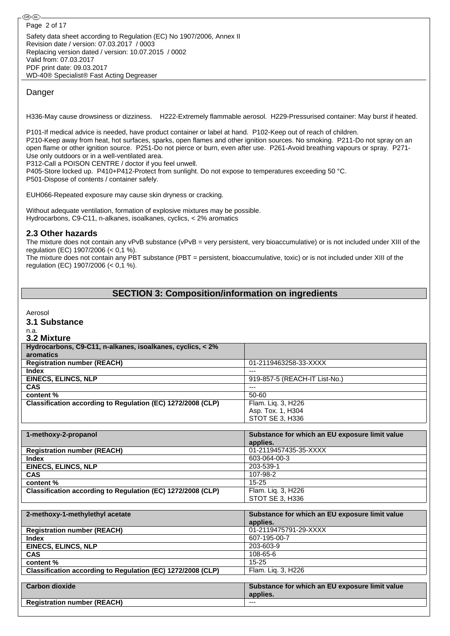Safety data sheet according to Regulation (EC) No 1907/2006, Annex II Revision date / version: 07.03.2017 / 0003 Replacing version dated / version: 10.07.2015 / 0002 Valid from: 07.03.2017 PDF print date: 09.03.2017 WD-40® Specialist® Fast Acting Degreaser

### Danger

H336-May cause drowsiness or dizziness. H222-Extremely flammable aerosol. H229-Pressurised container: May burst if heated.

P101-If medical advice is needed, have product container or label at hand. P102-Keep out of reach of children. P210-Keep away from heat, hot surfaces, sparks, open flames and other ignition sources. No smoking. P211-Do not spray on an open flame or other ignition source. P251-Do not pierce or burn, even after use. P261-Avoid breathing vapours or spray. P271- Use only outdoors or in a well-ventilated area.

P312-Call a POISON CENTRE / doctor if you feel unwell.

P405-Store locked up. P410+P412-Protect from sunlight. Do not expose to temperatures exceeding 50 °C. P501-Dispose of contents / container safely.

EUH066-Repeated exposure may cause skin dryness or cracking.

Without adequate ventilation, formation of explosive mixtures may be possible. Hydrocarbons, C9-C11, n-alkanes, isoalkanes, cyclics, < 2% aromatics

### **2.3 Other hazards**

The mixture does not contain any vPvB substance (vPvB = very persistent, very bioaccumulative) or is not included under XIII of the regulation (EC) 1907/2006 (< 0,1 %).

The mixture does not contain any PBT substance (PBT = persistent, bioaccumulative, toxic) or is not included under XIII of the regulation (EC) 1907/2006 (< 0,1 %).

## **SECTION 3: Composition/information on ingredients**

Aerosol

**3.1 Substance**

# n.a.

| 3.2 Mixture                                                 |                                                |
|-------------------------------------------------------------|------------------------------------------------|
| Hydrocarbons, C9-C11, n-alkanes, isoalkanes, cyclics, < 2%  |                                                |
| aromatics                                                   |                                                |
| <b>Registration number (REACH)</b>                          | 01-2119463258-33-XXXX                          |
| <b>Index</b>                                                | $---$                                          |
| <b>EINECS, ELINCS, NLP</b>                                  | 919-857-5 (REACH-IT List-No.)                  |
| <b>CAS</b>                                                  | $---$                                          |
| content %                                                   | 50-60                                          |
| Classification according to Regulation (EC) 1272/2008 (CLP) | Flam. Lig. 3, H226                             |
|                                                             | Asp. Tox. 1, H304                              |
|                                                             | STOT SE 3, H336                                |
|                                                             |                                                |
| 1-methoxy-2-propanol                                        | Substance for which an EU exposure limit value |
|                                                             | applies.                                       |
| <b>Registration number (REACH)</b>                          | 01-2119457435-35-XXXX                          |
| <b>Index</b>                                                | 603-064-00-3                                   |
| <b>EINECS, ELINCS, NLP</b>                                  | 203-539-1                                      |
| CAS                                                         | 107-98-2                                       |
| content %                                                   | $15 - 25$                                      |
| Classification according to Regulation (EC) 1272/2008 (CLP) | Flam. Lig. 3, H226                             |
|                                                             | STOT SE 3, H336                                |
|                                                             |                                                |
| 2-methoxy-1-methylethyl acetate                             | Substance for which an EU exposure limit value |
|                                                             | applies.                                       |
| <b>Registration number (REACH)</b>                          | 01-2119475791-29-XXXX                          |
| Index                                                       | 607-195-00-7                                   |
| <b>EINECS, ELINCS, NLP</b>                                  | 203-603-9                                      |
| CAS                                                         | 108-65-6                                       |
| content %                                                   | $15 - 25$                                      |
| Classification according to Regulation (EC) 1272/2008 (CLP) | Flam. Lig. 3, H226                             |
|                                                             |                                                |
| <b>Carbon dioxide</b>                                       | Substance for which an EU exposure limit value |
|                                                             | applies.                                       |
| <b>Registration number (REACH)</b>                          | $---$                                          |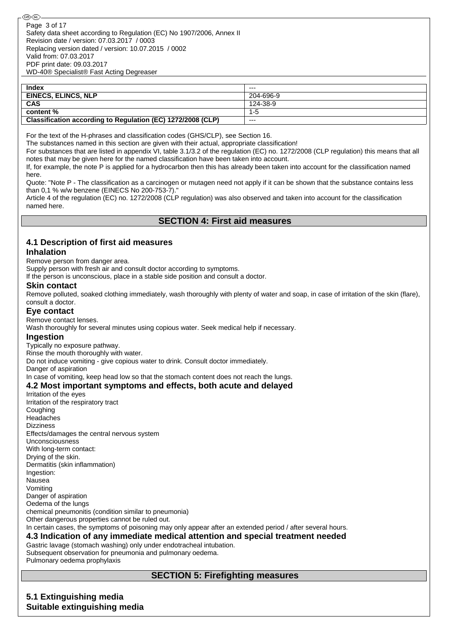| <b>Index</b>                                                | $- - -$   |
|-------------------------------------------------------------|-----------|
| <b>EINECS, ELINCS, NLP</b>                                  | 204-696-9 |
| <b>CAS</b>                                                  | 124-38-9  |
| content %                                                   | 1-5       |
| Classification according to Regulation (EC) 1272/2008 (CLP) | ---       |

For the text of the H-phrases and classification codes (GHS/CLP), see Section 16.

The substances named in this section are given with their actual, appropriate classification!

For substances that are listed in appendix VI, table 3.1/3.2 of the regulation (EC) no. 1272/2008 (CLP regulation) this means that all notes that may be given here for the named classification have been taken into account.

If, for example, the note P is applied for a hydrocarbon then this has already been taken into account for the classification named here.

Quote: "Note P - The classification as a carcinogen or mutagen need not apply if it can be shown that the substance contains less than 0,1 % w/w benzene (EINECS No 200-753-7)."

Article 4 of the regulation (EC) no. 1272/2008 (CLP regulation) was also observed and taken into account for the classification named here.

## **SECTION 4: First aid measures**

# **4.1 Description of first aid measures**

### **Inhalation**

Remove person from danger area.

Supply person with fresh air and consult doctor according to symptoms.

If the person is unconscious, place in a stable side position and consult a doctor.

### **Skin contact**

Remove polluted, soaked clothing immediately, wash thoroughly with plenty of water and soap, in case of irritation of the skin (flare), consult a doctor.

## **Eye contact**

Remove contact lenses.

Wash thoroughly for several minutes using copious water. Seek medical help if necessary.

### **Ingestion**

Typically no exposure pathway.

Rinse the mouth thoroughly with water.

Do not induce vomiting - give copious water to drink. Consult doctor immediately.

Danger of aspiration

In case of vomiting, keep head low so that the stomach content does not reach the lungs.

### **4.2 Most important symptoms and effects, both acute and delayed**

Irritation of the eyes Irritation of the respiratory tract **Coughing** Headaches Dizziness Effects/damages the central nervous system Unconsciousness With long-term contact: Drying of the skin. Dermatitis (skin inflammation) Ingestion: Nausea Vomiting Danger of aspiration Oedema of the lungs chemical pneumonitis (condition similar to pneumonia) Other dangerous properties cannot be ruled out. In certain cases, the symptoms of poisoning may only appear after an extended period / after several hours. **4.3 Indication of any immediate medical attention and special treatment needed** Gastric lavage (stomach washing) only under endotracheal intubation.

Subsequent observation for pneumonia and pulmonary oedema. Pulmonary oedema prophylaxis

## **SECTION 5: Firefighting measures**

### **5.1 Extinguishing media Suitable extinguishing media**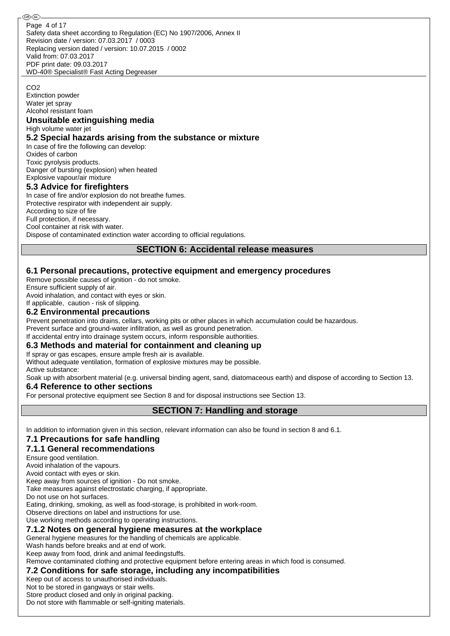Safety data sheet according to Regulation (EC) No 1907/2006, Annex II Revision date / version: 07.03.2017 / 0003 Replacing version dated / version: 10.07.2015 / 0002 Valid from: 07.03.2017 PDF print date: 09.03.2017 WD-40® Specialist® Fast Acting Degreaser Page 4 of 17

#### CO<sub>2</sub>

Extinction powder Water jet spray Alcohol resistant foam

### **Unsuitable extinguishing media**

High volume water jet

### **5.2 Special hazards arising from the substance or mixture**

In case of fire the following can develop: Oxides of carbon Toxic pyrolysis products. Danger of bursting (explosion) when heated

Explosive vapour/air mixture

### **5.3 Advice for firefighters**

In case of fire and/or explosion do not breathe fumes. Protective respirator with independent air supply. According to size of fire Full protection, if necessary. Cool container at risk with water. Dispose of contaminated extinction water according to official regulations.

### **SECTION 6: Accidental release measures**

## **6.1 Personal precautions, protective equipment and emergency procedures**

Remove possible causes of ignition - do not smoke.

Ensure sufficient supply of air.

Avoid inhalation, and contact with eyes or skin.

# If applicable, caution - risk of slipping.

## **6.2 Environmental precautions**

Prevent penetration into drains, cellars, working pits or other places in which accumulation could be hazardous. Prevent surface and ground-water infiltration, as well as ground penetration.

If accidental entry into drainage system occurs, inform responsible authorities.

## **6.3 Methods and material for containment and cleaning up**

If spray or gas escapes, ensure ample fresh air is available.

Without adequate ventilation, formation of explosive mixtures may be possible. Active substance:

Soak up with absorbent material (e.g. universal binding agent, sand, diatomaceous earth) and dispose of according to Section 13.

## **6.4 Reference to other sections**

For personal protective equipment see Section 8 and for disposal instructions see Section 13.

## **SECTION 7: Handling and storage**

In addition to information given in this section, relevant information can also be found in section 8 and 6.1.

## **7.1 Precautions for safe handling**

## **7.1.1 General recommendations**

Ensure good ventilation.

Avoid inhalation of the vapours.

Avoid contact with eyes or skin.

Keep away from sources of ignition - Do not smoke.

Take measures against electrostatic charging, if appropriate.

Do not use on hot surfaces.

Eating, drinking, smoking, as well as food-storage, is prohibited in work-room.

Observe directions on label and instructions for use.

Use working methods according to operating instructions.

## **7.1.2 Notes on general hygiene measures at the workplace**

General hygiene measures for the handling of chemicals are applicable.

Wash hands before breaks and at end of work.

Keep away from food, drink and animal feedingstuffs.

Remove contaminated clothing and protective equipment before entering areas in which food is consumed.

## **7.2 Conditions for safe storage, including any incompatibilities**

Keep out of access to unauthorised individuals.

Not to be stored in gangways or stair wells.

Store product closed and only in original packing.

Do not store with flammable or self-igniting materials.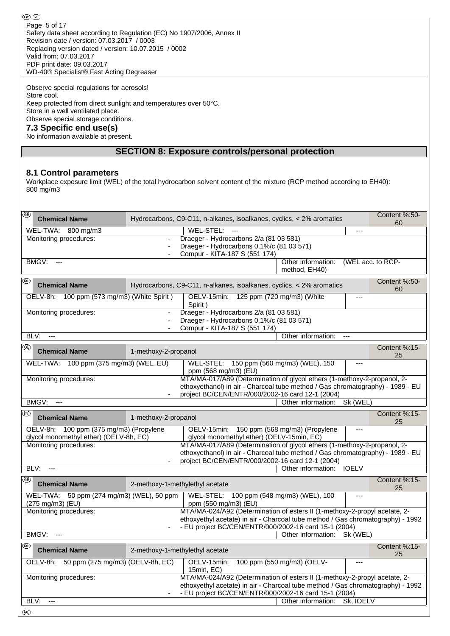#### **®®**

Safety data sheet according to Regulation (EC) No 1907/2006, Annex II Revision date / version: 07.03.2017 / 0003 Replacing version dated / version: 10.07.2015 / 0002 Valid from: 07.03.2017 PDF print date: 09.03.2017 WD-40® Specialist® Fast Acting Degreaser Page 5 of 17

Observe special regulations for aerosols! Store cool. Keep protected from direct sunlight and temperatures over 50°C. Store in a well ventilated place. Observe special storage conditions. **7.3 Specific end use(s)** No information available at present.

## **SECTION 8: Exposure controls/personal protection**

#### **8.1 Control parameters**

Workplace exposure limit (WEL) of the total hydrocarbon solvent content of the mixture (RCP method according to EH40): 800 mg/m3

| ®<br><b>Chemical Name</b>                                                                                                                                                                                                                |                      | Content %:50-<br>Hydrocarbons, C9-C11, n-alkanes, isoalkanes, cyclics, < 2% aromatics                                                                                                                                  |                                     |                   |                     |  |
|------------------------------------------------------------------------------------------------------------------------------------------------------------------------------------------------------------------------------------------|----------------------|------------------------------------------------------------------------------------------------------------------------------------------------------------------------------------------------------------------------|-------------------------------------|-------------------|---------------------|--|
| WEL-TWA: 800 mg/m3                                                                                                                                                                                                                       |                      | WEL-STEL:<br>$\overline{a}$                                                                                                                                                                                            |                                     | ---               | 60                  |  |
| Monitoring procedures:                                                                                                                                                                                                                   |                      | Draeger - Hydrocarbons 2/a (81 03 581)<br>Draeger - Hydrocarbons 0,1%/c (81 03 571)<br>Compur - KITA-187 S (551 174)                                                                                                   |                                     |                   |                     |  |
| BMGV:<br>$\overline{a}$                                                                                                                                                                                                                  |                      |                                                                                                                                                                                                                        | Other information:<br>method, EH40) | (WEL acc. to RCP- |                     |  |
| (BL)<br><b>Chemical Name</b>                                                                                                                                                                                                             |                      | Hydrocarbons, C9-C11, n-alkanes, isoalkanes, cyclics, < 2% aromatics                                                                                                                                                   |                                     |                   | Content %:50-<br>60 |  |
| OELV-8h: 100 ppm (573 mg/m3) (White Spirit)                                                                                                                                                                                              |                      | OELV-15min: 125 ppm (720 mg/m3) (White<br>Spirit)                                                                                                                                                                      |                                     | ---               |                     |  |
| Monitoring procedures:                                                                                                                                                                                                                   |                      | Draeger - Hydrocarbons 2/a (81 03 581)<br>Draeger - Hydrocarbons 0,1%/c (81 03 571)<br>Compur - KITA-187 S (551 174)                                                                                                   |                                     |                   |                     |  |
| BLV:<br>$\overline{a}$                                                                                                                                                                                                                   |                      |                                                                                                                                                                                                                        | Other information:                  | ---               |                     |  |
| ⊛<br><b>Chemical Name</b>                                                                                                                                                                                                                | 1-methoxy-2-propanol |                                                                                                                                                                                                                        |                                     |                   | Content %:15-<br>25 |  |
| WEL-TWA: 100 ppm (375 mg/m3) (WEL, EU)                                                                                                                                                                                                   |                      | WEL-STEL: 150 ppm (560 mg/m3) (WEL), 150<br>ppm (568 mg/m3) (EU)                                                                                                                                                       |                                     | ---               |                     |  |
| MTA/MA-017/A89 (Determination of glycol ethers (1-methoxy-2-propanol, 2-<br>Monitoring procedures:<br>ethoxyethanol) in air - Charcoal tube method / Gas chromatography) - 1989 - EU<br>project BC/CEN/ENTR/000/2002-16 card 12-1 (2004) |                      |                                                                                                                                                                                                                        |                                     |                   |                     |  |
| BMGV:                                                                                                                                                                                                                                    |                      |                                                                                                                                                                                                                        | Other information:                  | Sk (WEL)          |                     |  |
| ®<br><b>Chemical Name</b>                                                                                                                                                                                                                | 1-methoxy-2-propanol |                                                                                                                                                                                                                        |                                     |                   | Content %:15-<br>25 |  |
| OELV-8h: 100 ppm (375 mg/m3) (Propylene<br>glycol monomethyl ether) (OELV-8h, EC)                                                                                                                                                        |                      | OELV-15min: 150 ppm (568 mg/m3) (Propylene<br>glycol monomethyl ether) (OELV-15min, EC)                                                                                                                                |                                     |                   |                     |  |
| Monitoring procedures:                                                                                                                                                                                                                   |                      | MTA/MA-017/A89 (Determination of glycol ethers (1-methoxy-2-propanol, 2-<br>ethoxyethanol) in air - Charcoal tube method / Gas chromatography) - 1989 - EU<br>project BC/CEN/ENTR/000/2002-16 card 12-1 (2004)         |                                     |                   |                     |  |
| BLV:<br>---                                                                                                                                                                                                                              |                      |                                                                                                                                                                                                                        | Other information:                  | <b>IOELV</b>      |                     |  |
| @ි<br><b>Chemical Name</b>                                                                                                                                                                                                               |                      | 2-methoxy-1-methylethyl acetate                                                                                                                                                                                        |                                     |                   | Content %:15-<br>25 |  |
| 50 ppm (274 mg/m3) (WEL), 50 ppm<br>WEL-TWA:<br>(275 mg/m3) (EU)                                                                                                                                                                         |                      | WEL-STEL:<br>ppm (550 mg/m3) (EU)                                                                                                                                                                                      | 100 ppm (548 mg/m3) (WEL), 100      | ---               |                     |  |
| Monitoring procedures:                                                                                                                                                                                                                   |                      | MTA/MA-024/A92 (Determination of esters II (1-methoxy-2-propyl acetate, 2-<br>ethoxyethyl acetate) in air - Charcoal tube method / Gas chromatography) - 1992                                                          |                                     |                   |                     |  |
| BMGV:                                                                                                                                                                                                                                    |                      | - EU project BC/CEN/ENTR/000/2002-16 card 15-1 (2004)                                                                                                                                                                  | Other information:                  | Sk (WEL)          |                     |  |
| ⅏                                                                                                                                                                                                                                        |                      |                                                                                                                                                                                                                        |                                     |                   |                     |  |
| <b>Chemical Name</b>                                                                                                                                                                                                                     |                      | 2-methoxy-1-methylethyl acetate                                                                                                                                                                                        |                                     |                   | Content %:15-<br>25 |  |
| OELV-8h:<br>50 ppm (275 mg/m3) (OELV-8h, EC)                                                                                                                                                                                             |                      | OELV-15min:<br>15min, EC)                                                                                                                                                                                              | 100 ppm (550 mg/m3) (OELV-          |                   |                     |  |
| Monitoring procedures:                                                                                                                                                                                                                   |                      | MTA/MA-024/A92 (Determination of esters II (1-methoxy-2-propyl acetate, 2-<br>ethoxyethyl acetate) in air - Charcoal tube method / Gas chromatography) - 1992<br>- EU project BC/CEN/ENTR/000/2002-16 card 15-1 (2004) |                                     |                   |                     |  |
| BLV:<br>$\overline{a}$                                                                                                                                                                                                                   |                      |                                                                                                                                                                                                                        | Other information:                  | Sk, IOELV         |                     |  |
| ⊛                                                                                                                                                                                                                                        |                      |                                                                                                                                                                                                                        |                                     |                   |                     |  |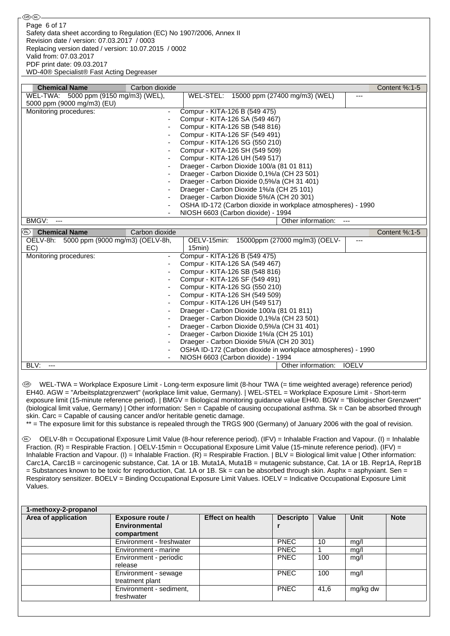| <b>Chemical Name</b>                     | Carbon dioxide           |                                                              | Content %:1-5   |
|------------------------------------------|--------------------------|--------------------------------------------------------------|-----------------|
| WEL-TWA: 5000 ppm (9150 mg/m3) (WEL),    |                          | WEL-STEL: 15000 ppm (27400 mg/m3) (WEL)<br>---               |                 |
| 5000 ppm (9000 mg/m3) (EU)               |                          |                                                              |                 |
| Monitoring procedures:                   | $\overline{\phantom{a}}$ | Compur - KITA-126 B (549 475)                                |                 |
|                                          |                          | Compur - KITA-126 SA (549 467)                               |                 |
|                                          |                          | Compur - KITA-126 SB (548 816)                               |                 |
|                                          |                          | Compur - KITA-126 SF (549 491)                               |                 |
|                                          |                          | Compur - KITA-126 SG (550 210)                               |                 |
|                                          |                          | Compur - KITA-126 SH (549 509)                               |                 |
|                                          |                          | Compur - KITA-126 UH (549 517)                               |                 |
|                                          |                          | Draeger - Carbon Dioxide 100/a (81 01 811)                   |                 |
|                                          | ۰                        | Draeger - Carbon Dioxide 0,1%/a (CH 23 501)                  |                 |
|                                          |                          | Draeger - Carbon Dioxide 0.5%/a (CH 31 401)                  |                 |
|                                          |                          | Draeger - Carbon Dioxide 1%/a (CH 25 101)                    |                 |
|                                          |                          | Draeger - Carbon Dioxide 5%/A (CH 20 301)                    |                 |
|                                          | ٠                        | OSHA ID-172 (Carbon dioxide in workplace atmospheres) - 1990 |                 |
|                                          |                          | NIOSH 6603 (Carbon dioxide) - 1994                           |                 |
| BMGV:<br>---                             |                          | Other information:<br>---                                    |                 |
| (R)<br><b>Chemical Name</b>              | Carbon dioxide           |                                                              | Content $%:1-5$ |
| OELV-8h: 5000 ppm (9000 mg/m3) (OELV-8h, |                          | 15000ppm (27000 mg/m3) (OELV-<br>OELV-15min:<br>---          |                 |
| EC)                                      |                          | 15min                                                        |                 |
| Monitoring procedures:                   |                          | Compur - KITA-126 B (549 475)                                |                 |
|                                          |                          | Compur - KITA-126 SA (549 467)                               |                 |
|                                          |                          | Compur - KITA-126 SB (548 816)                               |                 |

- Compur - KITA-126 SF (549 491) Compur - KITA-126 SG (550 210) - Compur - KITA-126 SH (549 509) - Compur - KITA-126 UH (549 517)

Draeger - Carbon Dioxide 100/a (81 01 811) Draeger - Carbon Dioxide 0,1%/a (CH 23 501) Draeger - Carbon Dioxide 0,5%/a (CH 31 401) Draeger - Carbon Dioxide 1%/a (CH 25 101) Draeger - Carbon Dioxide 5%/A (CH 20 301)

NIOSH 6603 (Carbon dioxide) - 1994

OSHA ID-172 (Carbon dioxide in workplace atmospheres) - 1990

 WEL-TWA = Workplace Exposure Limit - Long-term exposure limit (8-hour TWA (= time weighted average) reference period) EH40. AGW = "Arbeitsplatzgrenzwert" (workplace limit value, Germany). | WEL-STEL = Workplace Exposure Limit - Short-term exposure limit (15-minute reference period). | BMGV = Biological monitoring guidance value EH40. BGW = "Biologischer Grenzwert" (biological limit value, Germany) | Other information: Sen = Capable of causing occupational asthma. Sk = Can be absorbed through skin. Carc = Capable of causing cancer and/or heritable genetic damage.

BLV: ---<br>
Dther information: IOELV

\*\* = The exposure limit for this substance is repealed through the TRGS 900 (Germany) of January 2006 with the goal of revision.

 OELV-8h = Occupational Exposure Limit Value (8-hour reference period). (IFV) = Inhalable Fraction and Vapour. (I) = Inhalable Fraction. (R) = Respirable Fraction. | OELV-15min = Occupational Exposure Limit Value (15-minute reference period). (IFV) = Inhalable Fraction and Vapour. (I) = Inhalable Fraction. (R) = Respirable Fraction. | BLV = Biological limit value | Other information: Carc1A, Carc1B = carcinogenic substance, Cat. 1A or 1B. Muta1A, Muta1B = mutagenic substance, Cat. 1A or 1B. Repr1A, Repr1B  $=$  Substances known to be toxic for reproduction. Cat. 1A or 1B. Sk = can be absorbed through skin. Asphx = asphyxiant. Sen = Respiratory sensitizer. BOELV = Binding Occupational Exposure Limit Values. IOELV = Indicative Occupational Exposure Limit Values.

| Area of application | <b>Exposure route /</b><br><b>Environmental</b><br>compartment | <b>Effect on health</b> | <b>Descripto</b> | <b>Value</b> | <b>Unit</b> | <b>Note</b> |
|---------------------|----------------------------------------------------------------|-------------------------|------------------|--------------|-------------|-------------|
|                     | Environment - freshwater                                       |                         | <b>PNEC</b>      | 10           | mg/l        |             |
|                     | Environment - marine                                           |                         | <b>PNEC</b>      |              | mg/l        |             |
|                     | Environment - periodic<br>release                              |                         | <b>PNEC</b>      | 100          | mg/l        |             |
|                     | Environment - sewage<br>treatment plant                        |                         | <b>PNEC</b>      | 100          | mg/l        |             |
|                     | Environment - sediment,<br>freshwater                          |                         | <b>PNEC</b>      | 41,6         | mg/kg dw    |             |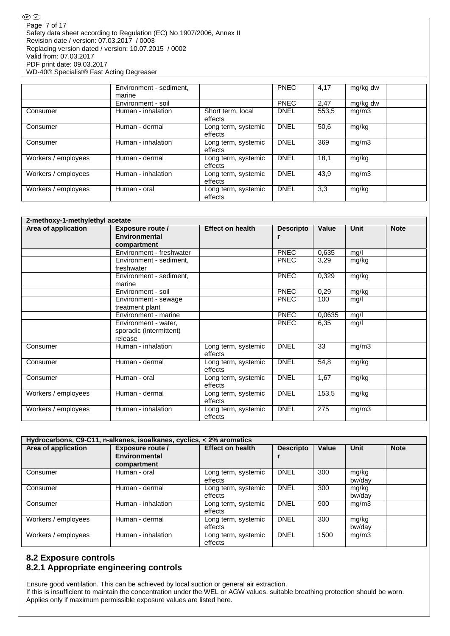|                     | Environment - sediment,<br>marine |                                | <b>PNEC</b> | 4,17  | mg/kg dw |
|---------------------|-----------------------------------|--------------------------------|-------------|-------|----------|
|                     | Environment - soil                |                                | <b>PNEC</b> | 2,47  | mg/kg dw |
| Consumer            | Human - inhalation                | Short term, local<br>effects   | <b>DNEL</b> | 553,5 | mg/m3    |
| Consumer            | Human - dermal                    | Long term, systemic<br>effects | <b>DNEL</b> | 50,6  | mg/kg    |
| Consumer            | Human - inhalation                | Long term, systemic<br>effects | <b>DNEL</b> | 369   | mg/m3    |
| Workers / employees | Human - dermal                    | Long term, systemic<br>effects | <b>DNEL</b> | 18,1  | mg/kg    |
| Workers / employees | Human - inhalation                | Long term, systemic<br>effects | <b>DNEL</b> | 43.9  | mg/m3    |
| Workers / employees | Human - oral                      | Long term, systemic<br>effects | <b>DNEL</b> | 3,3   | mg/kg    |

|                     | 2-methoxy-1-methylethyl acetate                            |                                |                  |        |             |             |  |  |
|---------------------|------------------------------------------------------------|--------------------------------|------------------|--------|-------------|-------------|--|--|
| Area of application | <b>Exposure route /</b>                                    | <b>Effect on health</b>        | <b>Descripto</b> | Value  | <b>Unit</b> | <b>Note</b> |  |  |
|                     | <b>Environmental</b>                                       |                                | r                |        |             |             |  |  |
|                     | compartment                                                |                                |                  |        |             |             |  |  |
|                     | Environment - freshwater                                   |                                | PNEC             | 0,635  | mg/l        |             |  |  |
|                     | Environment - sediment,<br>freshwater                      |                                | <b>PNEC</b>      | 3,29   | mg/kg       |             |  |  |
|                     | Environment - sediment,<br>marine                          |                                | <b>PNEC</b>      | 0,329  | mg/kg       |             |  |  |
|                     | Environment - soil                                         |                                | PNEC             | 0,29   | mg/kg       |             |  |  |
|                     | Environment - sewage<br>treatment plant                    |                                | <b>PNEC</b>      | 100    | mg/l        |             |  |  |
|                     | Environment - marine                                       |                                | <b>PNEC</b>      | 0,0635 | mg/l        |             |  |  |
|                     | Environment - water,<br>sporadic (intermittent)<br>release |                                | <b>PNEC</b>      | 6,35   | mg/l        |             |  |  |
| Consumer            | Human - inhalation                                         | Long term, systemic<br>effects | <b>DNEL</b>      | 33     | mg/m3       |             |  |  |
| Consumer            | Human - dermal                                             | Long term, systemic<br>effects | <b>DNEL</b>      | 54,8   | mg/kg       |             |  |  |
| Consumer            | Human - oral                                               | Long term, systemic<br>effects | <b>DNEL</b>      | 1,67   | mg/kg       |             |  |  |
| Workers / employees | Human - dermal                                             | Long term, systemic<br>effects | <b>DNEL</b>      | 153,5  | mg/kg       |             |  |  |
| Workers / employees | Human - inhalation                                         | Long term, systemic<br>effects | <b>DNEL</b>      | 275    | mg/m3       |             |  |  |

| Hydrocarbons, C9-C11, n-alkanes, isoalkanes, cyclics, < 2% aromatics |                         |                         |                  |       |        |             |  |  |
|----------------------------------------------------------------------|-------------------------|-------------------------|------------------|-------|--------|-------------|--|--|
| Area of application                                                  | <b>Exposure route /</b> | <b>Effect on health</b> | <b>Descripto</b> | Value | Unit   | <b>Note</b> |  |  |
|                                                                      | Environmental           |                         |                  |       |        |             |  |  |
|                                                                      | compartment             |                         |                  |       |        |             |  |  |
| Consumer                                                             | Human - oral            | Long term, systemic     | <b>DNEL</b>      | 300   | mg/kg  |             |  |  |
|                                                                      |                         | effects                 |                  |       | bw/day |             |  |  |
| Consumer                                                             | Human - dermal          | Long term, systemic     | <b>DNEL</b>      | 300   | mg/kg  |             |  |  |
|                                                                      |                         | effects                 |                  |       | bw/dav |             |  |  |
| Consumer                                                             | Human - inhalation      | Long term, systemic     | <b>DNEL</b>      | 900   | mg/m3  |             |  |  |
|                                                                      |                         | effects                 |                  |       |        |             |  |  |
| Workers / employees                                                  | Human - dermal          | Long term, systemic     | <b>DNEL</b>      | 300   | mg/kg  |             |  |  |
|                                                                      |                         | effects                 |                  |       | bw/dav |             |  |  |
| Workers / employees                                                  | Human - inhalation      | Long term, systemic     | <b>DNEL</b>      | 1500  | mg/m3  |             |  |  |
|                                                                      |                         | effects                 |                  |       |        |             |  |  |

## **8.2 Exposure controls 8.2.1 Appropriate engineering controls**

Ensure good ventilation. This can be achieved by local suction or general air extraction. If this is insufficient to maintain the concentration under the WEL or AGW values, suitable breathing protection should be worn. Applies only if maximum permissible exposure values are listed here.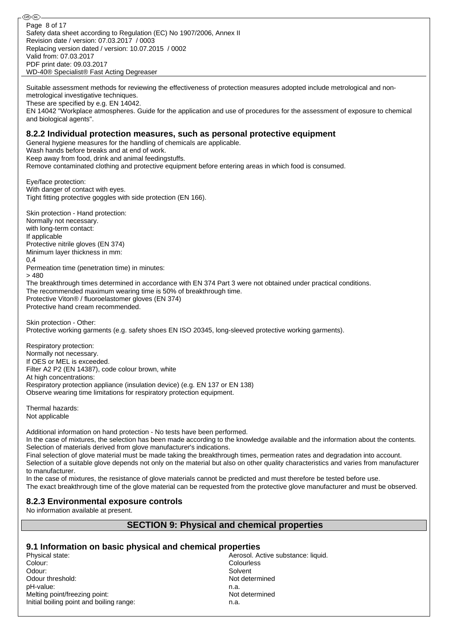⊛® Page 8 of 17Safety data sheet according to Regulation (EC) No 1907/2006, Annex II Revision date / version: 07.03.2017 / 0003 Replacing version dated / version: 10.07.2015 / 0002 Valid from: 07.03.2017 PDF print date: 09.03.2017 WD-40® Specialist® Fast Acting Degreaser

Suitable assessment methods for reviewing the effectiveness of protection measures adopted include metrological and nonmetrological investigative techniques.

These are specified by e.g. EN 14042.

EN 14042 "Workplace atmospheres. Guide for the application and use of procedures for the assessment of exposure to chemical and biological agents".

#### **8.2.2 Individual protection measures, such as personal protective equipment**

General hygiene measures for the handling of chemicals are applicable. Wash hands before breaks and at end of work. Keep away from food, drink and animal feedingstuffs. Remove contaminated clothing and protective equipment before entering areas in which food is consumed.

Eye/face protection: With danger of contact with eyes. Tight fitting protective goggles with side protection (EN 166).

Skin protection - Hand protection: Normally not necessary. with long-term contact: If applicable Protective nitrile gloves (EN 374) Minimum layer thickness in mm: 0,4 Permeation time (penetration time) in minutes: > 480 The breakthrough times determined in accordance with EN 374 Part 3 were not obtained under practical conditions. The recommended maximum wearing time is 50% of breakthrough time. Protective Viton® / fluoroelastomer gloves (EN 374) Protective hand cream recommended.

Skin protection - Other: Protective working garments (e.g. safety shoes EN ISO 20345, long-sleeved protective working garments).

Respiratory protection: Normally not necessary. If OES or MEL is exceeded. Filter A2 P2 (EN 14387), code colour brown, white At high concentrations: Respiratory protection appliance (insulation device) (e.g. EN 137 or EN 138) Observe wearing time limitations for respiratory protection equipment.

Thermal hazards: Not applicable

Additional information on hand protection - No tests have been performed.

In the case of mixtures, the selection has been made according to the knowledge available and the information about the contents. Selection of materials derived from glove manufacturer's indications.

Final selection of glove material must be made taking the breakthrough times, permeation rates and degradation into account. Selection of a suitable glove depends not only on the material but also on other quality characteristics and varies from manufacturer to manufacturer.

In the case of mixtures, the resistance of glove materials cannot be predicted and must therefore be tested before use. The exact breakthrough time of the glove material can be requested from the protective glove manufacturer and must be observed.

### **8.2.3 Environmental exposure controls**

No information available at present.

## **SECTION 9: Physical and chemical properties**

### **9.1 Information on basic physical and chemical properties**

Colour: Colourless Odour: Solvent National College of the Solvent National College of the Solvent National College of the Solvent Odour threshold: Not determined pH-value: n.a. Melting point/freezing point: Not determined Initial boiling point and boiling range: n.a.

Physical state: Aerosol. Active substance: liquid.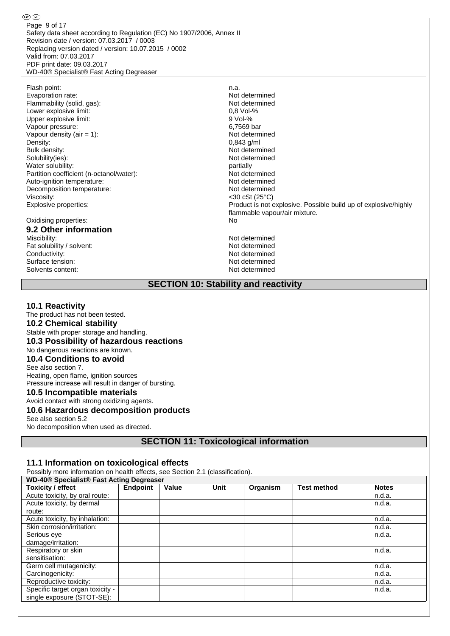௵ Page 9 of 17Safety data sheet according to Regulation (EC) No 1907/2006, Annex II Revision date / version: 07.03.2017 / 0003 Replacing version dated / version: 10.07.2015 / 0002 Valid from: 07.03.2017 PDF print date: 09.03.2017 WD-40® Specialist® Fast Acting Degreaser

Flash point:<br>
Evaporation rate:<br>
Evaporation rate:<br>
1990 - Contract Monte Alexander Mot determined Evaporation rate: Flammability (solid, gas):<br>
Not determined<br>  $\frac{1}{2}$  ower explosive limit:<br>  $\frac{1}{2}$  over explosive limit: Lower explosive limit: Upper explosive limit: 9 Vol-% Vapour pressure: 6,7569 bar Vapour density (air = 1): Not determined Density: 0,843 g/ml<br>Bulk density: 0,843 g/ml Solubility(ies): Water solubility: example of the solubility: the solubility: the solubility: the solubility: the solubility: the solubility: the solubility: the solubility: the solubility: the solubility: the solubility: the solubility: t Partition coefficient (n-octanol/water):<br>Auto-ignition temperature: Not determined<br>Not determined Auto-ignition temperature: Decomposition temperature: Not determined Viscosity:  $\leq$ 30 cSt (25°C)

Oxidising properties: No **9.2 Other information**

Fat solubility / solvent: Conductivity:<br>
Surface tension:<br>
Not determined<br>
Not determined Surface tension: Not determined<br>Solvents content: Not determined Solvents content:

Not determined<br>Not determined Explosive properties: Product is not explosive. Possible build up of explosive/highly flammable vapour/air mixture. Not determined<br>Not determined

**SECTION 10: Stability and reactivity**

## **10.1 Reactivity**

The product has not been tested. **10.2 Chemical stability** Stable with proper storage and handling. **10.3 Possibility of hazardous reactions** No dangerous reactions are known. **10.4 Conditions to avoid** See also section 7. Heating, open flame, ignition sources Pressure increase will result in danger of bursting. **10.5 Incompatible materials** Avoid contact with strong oxidizing agents.

### **10.6 Hazardous decomposition products**

See also section 5.2

No decomposition when used as directed.

**SECTION 11: Toxicological information**

### **11.1 Information on toxicological effects**

Possibly more information on health effects, see Section 2.1 (classification).

| <b>WD-40<sup>®</sup> Specialist<sup>®</sup> Fast Acting Degreaser</b> |                 |       |      |          |                    |              |
|-----------------------------------------------------------------------|-----------------|-------|------|----------|--------------------|--------------|
| Toxicity / effect                                                     | <b>Endpoint</b> | Value | Unit | Organism | <b>Test method</b> | <b>Notes</b> |
| Acute toxicity, by oral route:                                        |                 |       |      |          |                    | n.d.a.       |
| Acute toxicity, by dermal                                             |                 |       |      |          |                    | n.d.a.       |
| route:                                                                |                 |       |      |          |                    |              |
| Acute toxicity, by inhalation:                                        |                 |       |      |          |                    | n.d.a.       |
| Skin corrosion/irritation:                                            |                 |       |      |          |                    | n.d.a.       |
| Serious eye                                                           |                 |       |      |          |                    | n.d.a.       |
| damage/irritation:                                                    |                 |       |      |          |                    |              |
| Respiratory or skin                                                   |                 |       |      |          |                    | n.d.a.       |
| sensitisation:                                                        |                 |       |      |          |                    |              |
| Germ cell mutagenicity:                                               |                 |       |      |          |                    | n.d.a.       |
| Carcinogenicity:                                                      |                 |       |      |          |                    | n.d.a.       |
| Reproductive toxicity:                                                |                 |       |      |          |                    | n.d.a.       |
| Specific target organ toxicity -                                      |                 |       |      |          |                    | n.d.a.       |
| single exposure (STOT-SE):                                            |                 |       |      |          |                    |              |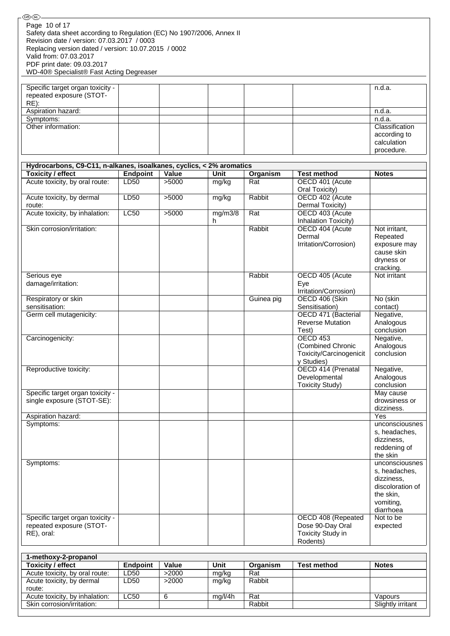| <b>Toxicity / effect</b>                                                                                                                                 | Endpoint   Value |                | Unit         | Organism      | <b>Test method</b>                                                            | <b>Notes</b>                                                                           |
|----------------------------------------------------------------------------------------------------------------------------------------------------------|------------------|----------------|--------------|---------------|-------------------------------------------------------------------------------|----------------------------------------------------------------------------------------|
| 1-methoxy-2-propanol                                                                                                                                     |                  |                |              |               |                                                                               |                                                                                        |
| RE), oral:                                                                                                                                               |                  |                |              |               | <b>Toxicity Study in</b><br>Rodents)                                          |                                                                                        |
| Specific target organ toxicity -<br>repeated exposure (STOT-                                                                                             |                  |                |              |               | OECD 408 (Repeated<br>Dose 90-Day Oral                                        | Not to be<br>expected                                                                  |
|                                                                                                                                                          |                  |                |              |               |                                                                               | s, headaches,<br>dizziness,<br>discoloration of<br>the skin,<br>vomiting,<br>diarrhoea |
| Symptoms:                                                                                                                                                |                  |                |              |               |                                                                               | s, headaches,<br>dizziness,<br>reddening of<br>the skin<br>unconsciousnes              |
| Symptoms:                                                                                                                                                |                  |                |              |               |                                                                               | unconsciousnes                                                                         |
| Aspiration hazard:                                                                                                                                       |                  |                |              |               |                                                                               | Yes                                                                                    |
| Specific target organ toxicity -<br>single exposure (STOT-SE):                                                                                           |                  |                |              |               |                                                                               | May cause<br>drowsiness or<br>dizziness.                                               |
| Reproductive toxicity:                                                                                                                                   |                  |                |              |               | OECD 414 (Prenatal<br>Developmental<br><b>Toxicity Study)</b>                 | Negative,<br>Analogous<br>conclusion                                                   |
| Carcinogenicity:                                                                                                                                         |                  |                |              |               | <b>OECD 453</b><br>(Combined Chronic<br>Toxicity/Carcinogenicit<br>y Studies) | Negative,<br>Analogous<br>conclusion                                                   |
| Germ cell mutagenicity:                                                                                                                                  |                  |                |              |               | OECD 471 (Bacterial<br><b>Reverse Mutation</b><br>Test)                       | Negative,<br>Analogous<br>conclusion                                                   |
| Respiratory or skin<br>sensitisation:                                                                                                                    |                  |                |              | Guinea pig    | OECD 406 (Skin<br>Sensitisation)                                              | No (skin<br>contact)                                                                   |
| Serious eye<br>damage/irritation:                                                                                                                        |                  |                |              | Rabbit        | OECD 405 (Acute<br>Eye<br>Irritation/Corrosion)                               | Not irritant                                                                           |
|                                                                                                                                                          |                  |                |              |               | Dermal<br>Irritation/Corrosion)                                               | Repeated<br>exposure may<br>cause skin<br>dryness or<br>cracking.                      |
| Skin corrosion/irritation:                                                                                                                               |                  |                | mg/m3/8<br>h | Rabbit        | Inhalation Toxicity)<br>OECD 404 (Acute                                       | Not irritant,                                                                          |
| route:<br>Acute toxicity, by inhalation:                                                                                                                 | <b>LC50</b>      | >5000          | mg/kg        | Rat           | Dermal Toxicity)<br>OECD 403 (Acute                                           |                                                                                        |
| Acute toxicity, by oral route:<br>Acute toxicity, by dermal                                                                                              | LD50<br>LD50     | >5000<br>>5000 | mg/kg        | Rat<br>Rabbit | OECD 401 (Acute<br>Oral Toxicity)<br>OECD 402 (Acute                          |                                                                                        |
| <b>Toxicity / effect</b>                                                                                                                                 | <b>Endpoint</b>  | Value          | <b>Unit</b>  | Organism      | <b>Test method</b>                                                            | <b>Notes</b>                                                                           |
| Hydrocarbons, C9-C11, n-alkanes, isoalkanes, cyclics, < 2% aromatics                                                                                     |                  |                |              |               |                                                                               |                                                                                        |
| Other information:                                                                                                                                       |                  |                |              |               |                                                                               | Classification<br>according to<br>calculation<br>procedure.                            |
| Symptoms:                                                                                                                                                |                  |                |              |               |                                                                               | n.d.a.                                                                                 |
| Specific target organ toxicity -<br>repeated exposure (STOT-<br>$RE)$ :<br>Aspiration hazard:                                                            |                  |                |              |               |                                                                               | n.d.a.<br>n.d.a.                                                                       |
| Replacing version dated / version: 10.07.2015 / 0002<br>Valid from: 07.03.2017<br>PDF print date: 09.03.2017<br>WD-40® Specialist® Fast Acting Degreaser |                  |                |              |               |                                                                               |                                                                                        |
| - رىمىي رىپ<br>Page 10 of 17<br>Safety data sheet according to Regulation (EC) No 1907/2006, Annex II<br>Revision date / version: 07.03.2017 / 0003      |                  |                |              |               |                                                                               |                                                                                        |

| Toxicity / effect                   | <b>Endpoint</b> | Value | Unit    | Organism | <b>Test method</b> | <b>Notes</b>      |
|-------------------------------------|-----------------|-------|---------|----------|--------------------|-------------------|
| Acute toxicity, by oral route:      | LD50            | >2000 | mg/kg   | Rat      |                    |                   |
| Acute toxicity, by dermal<br>route: | LD50            | >2000 | mg/kg   | Rabbit   |                    |                   |
| Acute toxicity, by inhalation:      | LC50            | 6     | mq/l/4h | Rat      |                    | Vapours           |
| Skin corrosion/irritation:          |                 |       |         | Rabbit   |                    | Slightly irritant |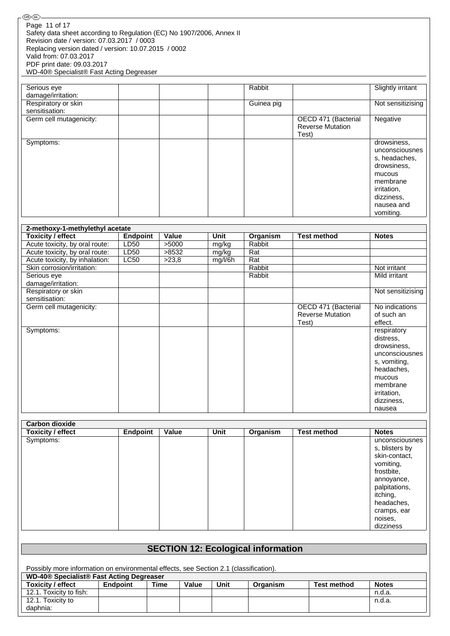| Serious eye<br>damage/irritation: | Rabbit     |                                                         | Slightly irritant                                                                                                                           |
|-----------------------------------|------------|---------------------------------------------------------|---------------------------------------------------------------------------------------------------------------------------------------------|
| Respiratory or skin               | Guinea pig |                                                         | Not sensitizising                                                                                                                           |
| sensitisation:                    |            |                                                         |                                                                                                                                             |
| Germ cell mutagenicity:           |            | OECD 471 (Bacterial<br><b>Reverse Mutation</b><br>Test) | Negative                                                                                                                                    |
| Symptoms:                         |            |                                                         | drowsiness,<br>unconsciousnes<br>s, headaches,<br>drowsiness,<br>mucous<br>membrane<br>irritation,<br>dizziness,<br>nausea and<br>vomiting. |

| 2-methoxy-1-methylethyl acetate       |                 |       |         |          |                         |                   |
|---------------------------------------|-----------------|-------|---------|----------|-------------------------|-------------------|
| <b>Toxicity / effect</b>              | <b>Endpoint</b> | Value | Unit    | Organism | <b>Test method</b>      | <b>Notes</b>      |
| Acute toxicity, by oral route:        | LD50            | >5000 | mg/kg   | Rabbit   |                         |                   |
| Acute toxicity, by oral route:        | LD50            | >8532 | mg/kg   | Rat      |                         |                   |
| Acute toxicity, by inhalation:        | <b>LC50</b>     | >23,8 | mg/l/6h | Rat      |                         |                   |
| Skin corrosion/irritation:            |                 |       |         | Rabbit   |                         | Not irritant      |
| Serious eye<br>damage/irritation:     |                 |       |         | Rabbit   |                         | Mild irritant     |
| Respiratory or skin<br>sensitisation: |                 |       |         |          |                         | Not sensitizising |
| Germ cell mutagenicity:               |                 |       |         |          | OECD 471 (Bacterial     | No indications    |
|                                       |                 |       |         |          | <b>Reverse Mutation</b> | of such an        |
|                                       |                 |       |         |          | Test)                   | effect.           |
| Symptoms:                             |                 |       |         |          |                         | respiratory       |
|                                       |                 |       |         |          |                         | distress,         |
|                                       |                 |       |         |          |                         | drowsiness,       |
|                                       |                 |       |         |          |                         | unconsciousnes    |
|                                       |                 |       |         |          |                         | s, vomiting,      |
|                                       |                 |       |         |          |                         | headaches,        |
|                                       |                 |       |         |          |                         | mucous            |
|                                       |                 |       |         |          |                         | membrane          |
|                                       |                 |       |         |          |                         | irritation,       |
|                                       |                 |       |         |          |                         | dizziness,        |
|                                       |                 |       |         |          |                         | nausea            |

| <b>Carbon dioxide</b>    |                 |       |      |          |                    |                |
|--------------------------|-----------------|-------|------|----------|--------------------|----------------|
| <b>Toxicity / effect</b> | <b>Endpoint</b> | Value | Unit | Organism | <b>Test method</b> | <b>Notes</b>   |
| Symptoms:                |                 |       |      |          |                    | unconsciousnes |
|                          |                 |       |      |          |                    | s, blisters by |
|                          |                 |       |      |          |                    | skin-contact,  |
|                          |                 |       |      |          |                    | vomiting,      |
|                          |                 |       |      |          |                    | frostbite,     |
|                          |                 |       |      |          |                    | annoyance,     |
|                          |                 |       |      |          |                    | palpitations,  |
|                          |                 |       |      |          |                    | itching,       |
|                          |                 |       |      |          |                    | headaches,     |
|                          |                 |       |      |          |                    | cramps, ear    |
|                          |                 |       |      |          |                    | noises,        |
|                          |                 |       |      |          |                    | dizziness      |

| <b>SECTION 12: Ecological information</b>                                             |          |      |       |      |          |                    |              |
|---------------------------------------------------------------------------------------|----------|------|-------|------|----------|--------------------|--------------|
| Possibly more information on environmental effects, see Section 2.1 (classification). |          |      |       |      |          |                    |              |
|                                                                                       |          |      |       |      |          |                    |              |
| <b>WD-40<sup>®</sup> Specialist<sup>®</sup> Fast Acting Degreaser</b>                 |          |      |       |      |          |                    |              |
| Toxicity / effect                                                                     | Endpoint | Time | Value | Unit | Organism | <b>Test method</b> | <b>Notes</b> |
| 12.1. Toxicity to fish:                                                               |          |      |       |      |          |                    | n.d.a.       |
| 12.1. Toxicity to                                                                     |          |      |       |      |          |                    | n.d.a.       |
| daphnia:                                                                              |          |      |       |      |          |                    |              |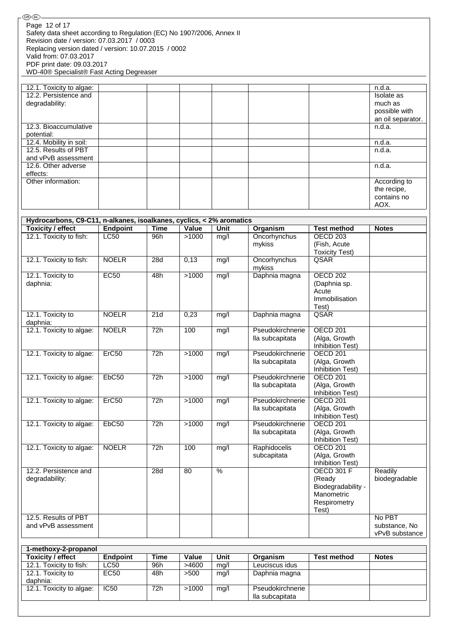| 12.1. Toxicity to algae: |  | n.d.a.            |
|--------------------------|--|-------------------|
| 12.2. Persistence and    |  | Isolate as        |
| degradability:           |  | much as           |
|                          |  | possible with     |
|                          |  | an oil separator. |
| 12.3. Bioaccumulative    |  | n.d.a.            |
| potential:               |  |                   |
| 12.4. Mobility in soil:  |  | n.d.a.            |
| 12.5. Results of PBT     |  | n.d.a.            |
| and vPvB assessment      |  |                   |
| 12.6. Other adverse      |  | n.d.a.            |
| effects:                 |  |                   |
| Other information:       |  | According to      |
|                          |  | the recipe,       |
|                          |  | contains no       |
|                          |  | AOX.              |

|                                             | Hydrocarbons, C9-C11, n-alkanes, isoalkanes, cyclics, < 2% aromatics |             |       |                 |                                     |                                                                                          |                                           |
|---------------------------------------------|----------------------------------------------------------------------|-------------|-------|-----------------|-------------------------------------|------------------------------------------------------------------------------------------|-------------------------------------------|
| <b>Toxicity / effect</b>                    | <b>Endpoint</b>                                                      | <b>Time</b> | Value | <b>Unit</b>     | Organism                            | <b>Test method</b>                                                                       | <b>Notes</b>                              |
| 12.1. Toxicity to fish:                     | LC50                                                                 | 96h         | >1000 | mg/l            | Oncorhynchus<br>mykiss              | <b>OECD 203</b><br>(Fish, Acute<br><b>Toxicity Test)</b>                                 |                                           |
| 12.1. Toxicity to fish:                     | <b>NOELR</b>                                                         | 28d         | 0,13  | mg/l            | Oncorhynchus<br>mykiss              | QSAR                                                                                     |                                           |
| 12.1. Toxicity to<br>daphnia:               | EC50                                                                 | 48h         | >1000 | mg/l            | Daphnia magna                       | <b>OECD 202</b><br>(Daphnia sp.<br>Acute<br>Immobilisation<br>Test)                      |                                           |
| 12.1. Toxicity to<br>daphnia:               | <b>NOELR</b>                                                         | 21d         | 0,23  | mg/l            | Daphnia magna                       | QSAR                                                                                     |                                           |
| 12.1. Toxicity to algae:                    | <b>NOELR</b>                                                         | 72h         | 100   | mg/l            | Pseudokirchnerie<br>lla subcapitata | <b>OECD 201</b><br>(Alga, Growth<br>Inhibition Test)                                     |                                           |
| 12.1. Toxicity to algae:                    | Erc50                                                                | 72h         | >1000 | mg/l            | Pseudokirchnerie<br>lla subcapitata | <b>OECD 201</b><br>(Alga, Growth<br><b>Inhibition Test)</b>                              |                                           |
| 12.1. Toxicity to algae:                    | EbC50                                                                | 72h         | >1000 | mg/l            | Pseudokirchnerie<br>lla subcapitata | <b>OECD 201</b><br>(Alga, Growth<br><b>Inhibition Test)</b>                              |                                           |
| 12.1. Toxicity to algae:                    | Erc50                                                                | 72h         | >1000 | mg/l            | Pseudokirchnerie<br>lla subcapitata | <b>OECD 201</b><br>(Alga, Growth<br>Inhibition Test)                                     |                                           |
| 12.1. Toxicity to algae:                    | EbC50                                                                | 72h         | >1000 | mg/l            | Pseudokirchnerie<br>lla subcapitata | <b>OECD 201</b><br>(Alga, Growth<br><b>Inhibition Test)</b>                              |                                           |
| 12.1. Toxicity to algae:                    | <b>NOELR</b>                                                         | 72h         | 100   | mg/l            | Raphidocelis<br>subcapitata         | <b>OECD 201</b><br>(Alga, Growth<br>Inhibition Test)                                     |                                           |
| 12.2. Persistence and<br>degradability:     |                                                                      | 28d         | 80    | $\overline{\%}$ |                                     | <b>OECD 301 F</b><br>(Ready<br>Biodegradability -<br>Manometric<br>Respirometry<br>Test) | Readily<br>biodegradable                  |
| 12.5. Results of PBT<br>and vPvB assessment |                                                                      |             |       |                 |                                     |                                                                                          | No PBT<br>substance, No<br>vPvB substance |

| 1-methoxy-2-propanol     |                 |      |       |      |                  |                    |              |
|--------------------------|-----------------|------|-------|------|------------------|--------------------|--------------|
| <b>Toxicity / effect</b> | <b>Endpoint</b> | Time | Value | Unit | Organism         | <b>Test method</b> | <b>Notes</b> |
| 12.1. Toxicity to fish:  | LC50            | 96h  | >4600 | mg/l | Leuciscus idus   |                    |              |
| 12.1. Toxicity to        | EC50            | 48h  | >500  | mg/l | Daphnia magna    |                    |              |
| daphnia:                 |                 |      |       |      |                  |                    |              |
| 12.1. Toxicity to algae: | IC50            | 72h  | >1000 | mg/l | Pseudokirchnerie |                    |              |
|                          |                 |      |       |      | lla subcapitata  |                    |              |
|                          |                 |      |       |      |                  |                    |              |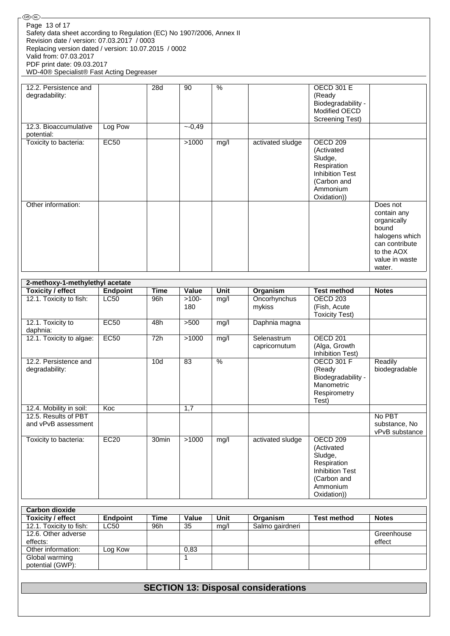| 12.2. Persistence and<br>degradability: |         | 28d | 90      | $\%$ |                  | <b>OECD 301 E</b><br>(Ready<br>Biodegradability -<br>Modified OECD<br><b>Screening Test)</b>                                    |                                                                                                                               |
|-----------------------------------------|---------|-----|---------|------|------------------|---------------------------------------------------------------------------------------------------------------------------------|-------------------------------------------------------------------------------------------------------------------------------|
| 12.3. Bioaccumulative<br>potential:     | Log Pow |     | $-0,49$ |      |                  |                                                                                                                                 |                                                                                                                               |
| Toxicity to bacteria:                   | EC50    |     | >1000   | mg/l | activated sludge | OECD <sub>209</sub><br>(Activated<br>Sludge,<br>Respiration<br><b>Inhibition Test</b><br>(Carbon and<br>Ammonium<br>Oxidation)) |                                                                                                                               |
| Other information:                      |         |     |         |      |                  |                                                                                                                                 | Does not<br>contain any<br>organically<br>bound<br>halogens which<br>can contribute<br>to the AOX<br>value in waste<br>water. |

| 2-methoxy-1-methylethyl acetate |                 |                   |         |      |                  |                        |                |
|---------------------------------|-----------------|-------------------|---------|------|------------------|------------------------|----------------|
| <b>Toxicity / effect</b>        | <b>Endpoint</b> | <b>Time</b>       | Value   | Unit | Organism         | <b>Test method</b>     | <b>Notes</b>   |
| 12.1. Toxicity to fish:         | LC50            | 96h               | $>100-$ | mg/l | Oncorhynchus     | OECD <sub>203</sub>    |                |
|                                 |                 |                   | 180     |      | mykiss           | (Fish, Acute           |                |
|                                 |                 |                   |         |      |                  | <b>Toxicity Test)</b>  |                |
| 12.1. Toxicity to               | EC50            | 48h               | $>500$  | mg/l | Daphnia magna    |                        |                |
| daphnia:                        |                 |                   |         |      |                  |                        |                |
| 12.1. Toxicity to algae:        | EC50            | 72h               | >1000   | mg/l | Selenastrum      | OECD <sub>201</sub>    |                |
|                                 |                 |                   |         |      | capricornutum    | (Alga, Growth          |                |
|                                 |                 |                   |         |      |                  | Inhibition Test)       |                |
| 12.2. Persistence and           |                 | 10d               | 83      | %    |                  | <b>OECD 301 F</b>      | Readily        |
| degradability:                  |                 |                   |         |      |                  | (Ready                 | biodegradable  |
|                                 |                 |                   |         |      |                  | Biodegradability -     |                |
|                                 |                 |                   |         |      |                  | Manometric             |                |
|                                 |                 |                   |         |      |                  | Respirometry           |                |
|                                 |                 |                   |         |      |                  | Test)                  |                |
| 12.4. Mobility in soil:         | Koc             |                   | 1,7     |      |                  |                        |                |
| 12.5. Results of PBT            |                 |                   |         |      |                  |                        | No PBT         |
| and vPvB assessment             |                 |                   |         |      |                  |                        | substance, No  |
|                                 |                 |                   |         |      |                  |                        | vPvB substance |
| Toxicity to bacteria:           | EC20            | 30 <sub>min</sub> | >1000   | mg/l | activated sludge | OECD <sub>209</sub>    |                |
|                                 |                 |                   |         |      |                  | (Activated             |                |
|                                 |                 |                   |         |      |                  | Sludge,                |                |
|                                 |                 |                   |         |      |                  | Respiration            |                |
|                                 |                 |                   |         |      |                  | <b>Inhibition Test</b> |                |
|                                 |                 |                   |         |      |                  | (Carbon and            |                |
|                                 |                 |                   |         |      |                  | Ammonium               |                |
|                                 |                 |                   |         |      |                  | Oxidation))            |                |

| <b>Carbon dioxide</b>   |             |             |       |      |                 |                    |              |
|-------------------------|-------------|-------------|-------|------|-----------------|--------------------|--------------|
| Toxicity / effect       | Endpoint    | <b>Time</b> | Value | Unit | Organism        | <b>Test method</b> | <b>Notes</b> |
| 12.1. Toxicity to fish: | <b>LC50</b> | 96h         | 35    | mq/l | Salmo gairdneri |                    |              |
| 12.6. Other adverse     |             |             |       |      |                 |                    | Greenhouse   |
| effects:                |             |             |       |      |                 |                    | effect       |
| Other information:      | Log Kow     |             | 0,83  |      |                 |                    |              |
| Global warming          |             |             |       |      |                 |                    |              |
| potential (GWP):        |             |             |       |      |                 |                    |              |

**SECTION 13: Disposal considerations**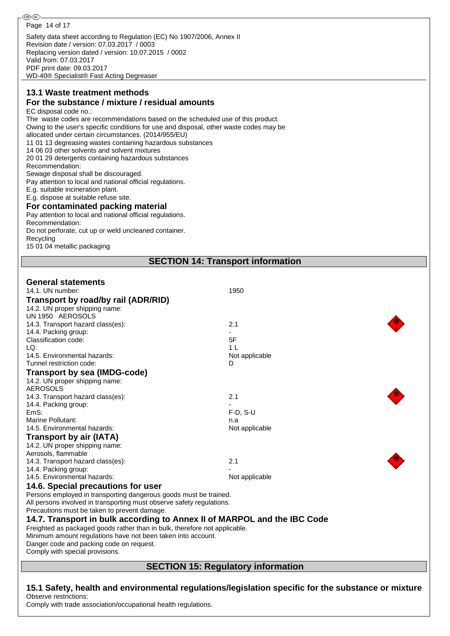**®®** Page 14 of 17Safety data sheet according to Regulation (EC) No 1907/2006, Annex II Revision date / version: 07.03.2017 / 0003 Replacing version dated / version: 10.07.2015 / 0002 Valid from: 07.03.2017 PDF print date: 09.03.2017

WD-40® Specialist® Fast Acting Degreaser

### **13.1 Waste treatment methods For the substance / mixture / residual amounts**

EC disposal code no.:

The waste codes are recommendations based on the scheduled use of this product.

Owing to the user's specific conditions for use and disposal, other waste codes may be

allocated under certain circumstances. (2014/955/EU) 11 01 13 degreasing wastes containing hazardous substances

14 06 03 other solvents and solvent mixtures

20 01 29 detergents containing hazardous substances

Recommendation:

Sewage disposal shall be discouraged.

Pay attention to local and national official regulations.

E.g. suitable incineration plant.

E.g. dispose at suitable refuse site.

#### **For contaminated packing material**

Pay attention to local and national official regulations. Recommendation:

Do not perforate, cut up or weld uncleaned container.

Recycling

15 01 04 metallic packaging

**SECTION 14: Transport information**

### **General statements**

| Comply with special provisions.                                            |                |  |
|----------------------------------------------------------------------------|----------------|--|
| Danger code and packing code on request.                                   |                |  |
| Minimum amount regulations have not been taken into account.               |                |  |
| Freighted as packaged goods rather than in bulk, therefore not applicable. |                |  |
| 14.7. Transport in bulk according to Annex II of MARPOL and the IBC Code   |                |  |
| Precautions must be taken to prevent damage.                               |                |  |
| All persons involved in transporting must observe safety regulations.      |                |  |
| Persons employed in transporting dangerous goods must be trained.          |                |  |
| 14.6. Special precautions for user                                         |                |  |
| 14.5. Environmental hazards:                                               | Not applicable |  |
| 14.4. Packing group:                                                       |                |  |
| Aerosols, flammable<br>14.3. Transport hazard class(es):                   | 2.1            |  |
| 14.2. UN proper shipping name:                                             |                |  |
| Transport by air (IATA)                                                    |                |  |
|                                                                            | Not applicable |  |
| 14.5. Environmental hazards:                                               | n.a            |  |
| EmS:<br>Marine Pollutant:                                                  | $F-D$ , S-U    |  |
| 14.4. Packing group:                                                       |                |  |
| 14.3. Transport hazard class(es):                                          | 2.1            |  |
| <b>AEROSOLS</b>                                                            |                |  |
| 14.2. UN proper shipping name:                                             |                |  |
| Transport by sea (IMDG-code)                                               |                |  |
| Tunnel restriction code:                                                   | D              |  |
| 14.5. Environmental hazards:                                               | Not applicable |  |
| LQ:                                                                        | 1 <sub>L</sub> |  |
| Classification code:                                                       | 5F             |  |
| 14.4. Packing group:                                                       |                |  |
| 14.3. Transport hazard class(es):                                          | 2.1            |  |
| UN 1950 AEROSOLS                                                           |                |  |
| 14.2. UN proper shipping name:                                             |                |  |
| Transport by road/by rail (ADR/RID)                                        |                |  |
| 14.1. UN number:                                                           | 1950           |  |
|                                                                            |                |  |

## **SECTION 15: Regulatory information**

**15.1 Safety, health and environmental regulations/legislation specific for the substance or mixture** Observe restrictions:

Comply with trade association/occupational health regulations.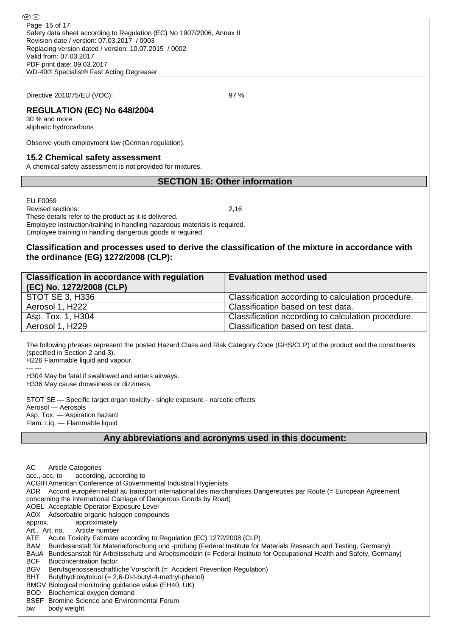Directive 2010/75/EU (VOC): 97 %

## **REGULATION (EC) No 648/2004**

30 % and more aliphatic hydrocarbons

Observe youth employment law (German regulation).

#### **15.2 Chemical safety assessment**

A chemical safety assessment is not provided for mixtures.

### **SECTION 16: Other information**

EU F0059

Revised sections: 2,16

These details refer to the product as it is delivered. Employee instruction/training in handling hazardous materials is required.

### Employee training in handling dangerous goods is required.

### **Classification and processes used to derive the classification of the mixture in accordance with the ordinance (EG) 1272/2008 (CLP):**

| <b>Classification in accordance with regulation</b><br>(EC) No. 1272/2008 (CLP) | <b>Evaluation method used</b>                      |
|---------------------------------------------------------------------------------|----------------------------------------------------|
| <b>STOT SE 3, H336</b>                                                          | Classification according to calculation procedure. |
| Aerosol 1, H222                                                                 | Classification based on test data.                 |
| Asp. Tox. 1, H304                                                               | Classification according to calculation procedure. |
| Aerosol 1, H229                                                                 | Classification based on test data.                 |

The following phrases represent the posted Hazard Class and Risk Category Code (GHS/CLP) of the product and the constituents (specified in Section 2 and 3).

H226 Flammable liquid and vapour.

--- ---

H304 May be fatal if swallowed and enters airways. H336 May cause drowsiness or dizziness.

STOT SE — Specific target organ toxicity - single exposure - narcotic effects Aerosol — Aerosols Asp. Tox. — Aspiration hazard Flam. Liq. — Flammable liquid

### **Any abbreviations and acronyms used in this document:**

AC Article Categories acc., acc. to according, according to ACGIHAmerican Conference of Governmental Industrial Hygienists ADR Accord européen relatif au transport international des marchandises Dangereuses par Route (= European Agreement concerning the International Carriage of Dangerous Goods by Road) AOEL Acceptable Operator Exposure Level AOX Adsorbable organic halogen compounds approx. approximately Art., Art. no. Article number ATE Acute Toxicity Estimate according to Regulation (EC) 1272/2008 (CLP) BAM Bundesanstalt für Materialforschung und -prüfung (Federal Institute for Materials Research and Testing, Germany) BAuA Bundesanstalt für Arbeitsschutz und Arbeitsmedizin (= Federal Institute for Occupational Health and Safety, Germany) BCF Bioconcentration factor BGV Berufsgenossenschaftliche Vorschrift (= Accident Prevention Regulation) BHT Butylhydroxytoluol (= 2,6-Di-t-butyl-4-methyl-phenol) BMGV Biological monitoring guidance value (EH40, UK) BOD Biochemical oxygen demand BSEF Bromine Science and Environmental Forum

bw body weight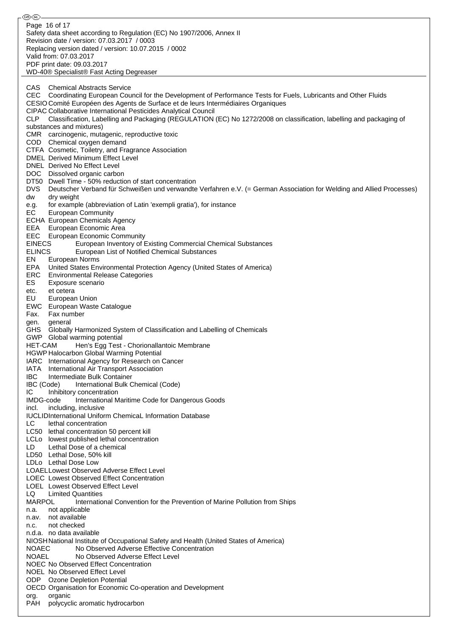®0බ Page 16 of 17Safety data sheet according to Regulation (EC) No 1907/2006, Annex II Revision date / version: 07.03.2017 / 0003 Replacing version dated / version: 10.07.2015 / 0002 Valid from: 07.03.2017 PDF print date: 09.03.2017 WD-40® Specialist® Fast Acting Degreaser CAS Chemical Abstracts Service CEC Coordinating European Council for the Development of Performance Tests for Fuels, Lubricants and Other Fluids CESIO Comité Européen des Agents de Surface et de leurs Intermédiaires Organiques CIPAC Collaborative International Pesticides Analytical Council CLP Classification, Labelling and Packaging (REGULATION (EC) No 1272/2008 on classification, labelling and packaging of substances and mixtures) CMR carcinogenic, mutagenic, reproductive toxic COD Chemical oxygen demand CTFA Cosmetic, Toiletry, and Fragrance Association DMEL Derived Minimum Effect Level DNEL Derived No Effect Level DOC Dissolved organic carbon DT50 Dwell Time - 50% reduction of start concentration DVS Deutscher Verband für Schweißen und verwandte Verfahren e.V. (= German Association for Welding and Allied Processes) dw dry weight e.g. for example (abbreviation of Latin 'exempli gratia'), for instance EC European Community ECHA European Chemicals Agency EEA European Economic Area EEC European Economic Community EINECS European Inventory of Existing Commercial Chemical Substances ELINCS European List of Notified Chemical Substances EN European Norms EPA United States Environmental Protection Agency (United States of America) ERC Environmental Release Categories ES Exposure scenario etc. et cetera EU European Union EWC European Waste Catalogue Fax. Fax number gen. general GHS Globally Harmonized System of Classification and Labelling of Chemicals GWP Global warming potential HET-CAM Hen's Egg Test - Chorionallantoic Membrane HGWP Halocarbon Global Warming Potential IARC International Agency for Research on Cancer IATA International Air Transport Association IBC Intermediate Bulk Container IBC (Code) International Bulk Chemical (Code) IC Inhibitory concentration IMDG-code International Maritime Code for Dangerous Goods incl. including, inclusive IUCLIDInternational Uniform ChemicaL Information Database LC lethal concentration LC50 lethal concentration 50 percent kill LCLo lowest published lethal concentration LD Lethal Dose of a chemical LD50 Lethal Dose, 50% kill LDLo Lethal Dose Low LOAELLowest Observed Adverse Effect Level LOEC Lowest Observed Effect Concentration LOEL Lowest Observed Effect Level LQ Limited Quantities<br>MARPOL lnternatic International Convention for the Prevention of Marine Pollution from Ships n.a. not applicable n.av. not available n.c. not checked n.d.a. no data available NIOSHNational Institute of Occupational Safety and Health (United States of America) NOAEC No Observed Adverse Effective Concentration NOAEL No Observed Adverse Effect Level NOEC No Observed Effect Concentration NOEL No Observed Effect Level ODP Ozone Depletion Potential OECD Organisation for Economic Co-operation and Development org. organic PAH polycyclic aromatic hydrocarbon